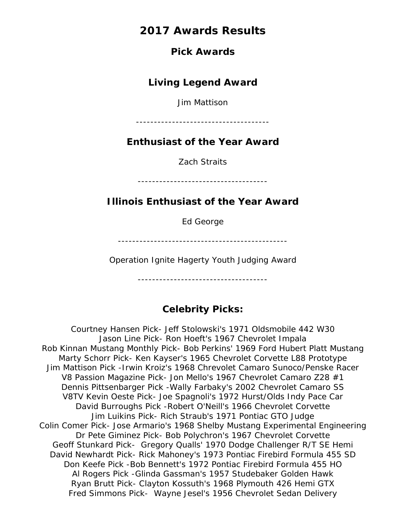## **Pick Awards**

# **Living Legend Award**

Jim Mattison

-------------------------------------

# **Enthusiast of the Year Award**

Zach Straits

------------------------------------

# **Illinois Enthusiast of the Year Award**

Ed George

-----------------------------------------------

Operation Ignite Hagerty Youth Judging Award

------------------------------------

# **Celebrity Picks:**

Courtney Hansen Pick- Jeff Stolowski's 1971 Oldsmobile 442 W30 Jason Line Pick- Ron Hoeft's 1967 Chevrolet Impala Rob Kinnan Mustang Monthly Pick- Bob Perkins' 1969 Ford Hubert Platt Mustang Marty Schorr Pick- Ken Kayser's 1965 Chevrolet Corvette L88 Prototype Jim Mattison Pick -Irwin Kroiz's 1968 Chrevolet Camaro Sunoco/Penske Racer V8 Passion Magazine Pick- Jon Mello's 1967 Chevrolet Camaro Z28 #1 Dennis Pittsenbarger Pick -Wally Farbaky's 2002 Chevrolet Camaro SS V8TV Kevin Oeste Pick- Joe Spagnoli's 1972 Hurst/Olds Indy Pace Car David Burroughs Pick -Robert O'Neill's 1966 Chevrolet Corvette Jim Luikins Pick- Rich Straub's 1971 Pontiac GTO Judge Colin Comer Pick- Jose Armario's 1968 Shelby Mustang Experimental Engineering Dr Pete Giminez Pick- Bob Polychron's 1967 Chevrolet Corvette Geoff Stunkard Pick- Gregory Qualls' 1970 Dodge Challenger R/T SE Hemi David Newhardt Pick- Rick Mahoney's 1973 Pontiac Firebird Formula 455 SD Don Keefe Pick -Bob Bennett's 1972 Pontiac Firebird Formula 455 HO Al Rogers Pick -Glinda Gassman's 1957 Studebaker Golden Hawk Ryan Brutt Pick- Clayton Kossuth's 1968 Plymouth 426 Hemi GTX Fred Simmons Pick- Wayne Jesel's 1956 Chevrolet Sedan Delivery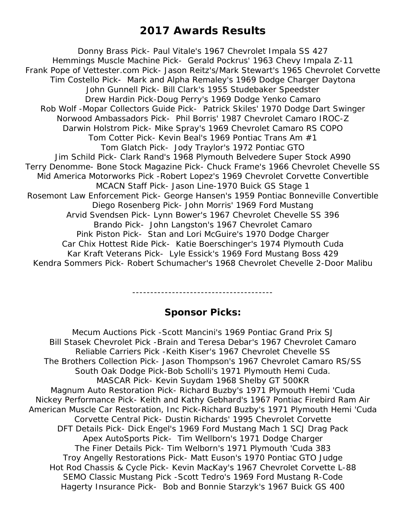Donny Brass Pick- Paul Vitale's 1967 Chevrolet Impala SS 427 Hemmings Muscle Machine Pick- Gerald Pockrus' 1963 Chevy Impala Z-11 Frank Pope of Vettester.com Pick- Jason Reitz's/Mark Stewart's 1965 Chevrolet Corvette Tim Costello Pick- Mark and Alpha Remaley's 1969 Dodge Charger Daytona John Gunnell Pick- Bill Clark's 1955 Studebaker Speedster Drew Hardin Pick-Doug Perry's 1969 Dodge Yenko Camaro Rob Wolf -Mopar Collectors Guide Pick- Patrick Skiles' 1970 Dodge Dart Swinger Norwood Ambassadors Pick- Phil Borris' 1987 Chevrolet Camaro IROC-Z Darwin Holstrom Pick- Mike Spray's 1969 Chevrolet Camaro RS COPO Tom Cotter Pick- Kevin Beal's 1969 Pontiac Trans Am #1 Tom Glatch Pick- Jody Traylor's 1972 Pontiac GTO Jim Schild Pick- Clark Rand's 1968 Plymouth Belvedere Super Stock A990 Terry Denomme- Bone Stock Magazine Pick- Chuck Frame's 1966 Chevrolet Chevelle SS Mid America Motorworks Pick -Robert Lopez's 1969 Chevrolet Corvette Convertible MCACN Staff Pick- Jason Line-1970 Buick GS Stage 1 Rosemont Law Enforcement Pick- George Hansen's 1959 Pontiac Bonneville Convertible Diego Rosenberg Pick- John Morris' 1969 Ford Mustang Arvid Svendsen Pick- Lynn Bower's 1967 Chevrolet Chevelle SS 396 Brando Pick- John Langston's 1967 Chevrolet Camaro Pink Piston Pick- Stan and Lori McGuire's 1970 Dodge Charger Car Chix Hottest Ride Pick- Katie Boerschinger's 1974 Plymouth Cuda Kar Kraft Veterans Pick- Lyle Essick's 1969 Ford Mustang Boss 429 Kendra Sommers Pick- Robert Schumacher's 1968 Chevrolet Chevelle 2-Door Malibu

---------------------------------------

# **Sponsor Picks:**

Mecum Auctions Pick -Scott Mancini's 1969 Pontiac Grand Prix SJ Bill Stasek Chevrolet Pick -Brain and Teresa Debar's 1967 Chevrolet Camaro Reliable Carriers Pick -Keith Kiser's 1967 Chevrolet Chevelle SS The Brothers Collection Pick- Jason Thompson's 1967 Chevrolet Camaro RS/SS South Oak Dodge Pick-Bob Scholli's 1971 Plymouth Hemi Cuda. MASCAR Pick- Kevin Suydam 1968 Shelby GT 500KR Magnum Auto Restoration Pick- Richard Buzby's 1971 Plymouth Hemi 'Cuda Nickey Performance Pick- Keith and Kathy Gebhard's 1967 Pontiac Firebird Ram Air American Muscle Car Restoration, Inc Pick-Richard Buzby's 1971 Plymouth Hemi 'Cuda Corvette Central Pick- Dustin Richards' 1995 Chevrolet Corvette DFT Details Pick- Dick Engel's 1969 Ford Mustang Mach 1 SCJ Drag Pack Apex AutoSports Pick- Tim Wellborn's 1971 Dodge Charger The Finer Details Pick- Tim Welborn's 1971 Plymouth 'Cuda 383 Troy Angelly Restorations Pick- Matt Euson's 1970 Pontiac GTO Judge Hot Rod Chassis & Cycle Pick- Kevin MacKay's 1967 Chevrolet Corvette L-88 SEMO Classic Mustang Pick -Scott Tedro's 1969 Ford Mustang R-Code Hagerty Insurance Pick- Bob and Bonnie Starzyk's 1967 Buick GS 400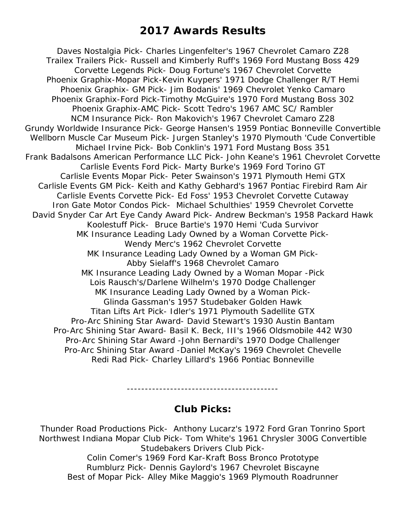Daves Nostalgia Pick- Charles Lingenfelter's 1967 Chevrolet Camaro Z28 Trailex Trailers Pick- Russell and Kimberly Ruff's 1969 Ford Mustang Boss 429 Corvette Legends Pick- Doug Fortune's 1967 Chevrolet Corvette Phoenix Graphix-Mopar Pick-Kevin Kuypers' 1971 Dodge Challenger R/T Hemi Phoenix Graphix- GM Pick- Jim Bodanis' 1969 Chevrolet Yenko Camaro Phoenix Graphix-Ford Pick-Timothy McGuire's 1970 Ford Mustang Boss 302 Phoenix Graphix-AMC Pick- Scott Tedro's 1967 AMC SC/ Rambler NCM Insurance Pick- Ron Makovich's 1967 Chevrolet Camaro Z28 Grundy Worldwide Insurance Pick- George Hansen's 1959 Pontiac Bonneville Convertible Wellborn Muscle Car Museum Pick- Jurgen Stanley's 1970 Plymouth 'Cude Convertible Michael Irvine Pick- Bob Conklin's 1971 Ford Mustang Boss 351 Frank Badalsons American Performance LLC Pick- John Keane's 1961 Chevrolet Corvette Carlisle Events Ford Pick- Marty Burke's 1969 Ford Torino GT Carlisle Events Mopar Pick- Peter Swainson's 1971 Plymouth Hemi GTX Carlisle Events GM Pick- Keith and Kathy Gebhard's 1967 Pontiac Firebird Ram Air Carlisle Events Corvette Pick- Ed Foss' 1953 Chevrolet Corvette Cutaway Iron Gate Motor Condos Pick- Michael Schulthies' 1959 Chevrolet Corvette David Snyder Car Art Eye Candy Award Pick- Andrew Beckman's 1958 Packard Hawk Koolestuff Pick- Bruce Bartie's 1970 Hemi 'Cuda Survivor MK Insurance Leading Lady Owned by a Woman Corvette Pick-Wendy Merc's 1962 Chevrolet Corvette MK Insurance Leading Lady Owned by a Woman GM Pick-Abby Sielaff's 1968 Chevrolet Camaro MK Insurance Leading Lady Owned by a Woman Mopar -Pick Lois Rausch's/Darlene Wilhelm's 1970 Dodge Challenger MK Insurance Leading Lady Owned by a Woman Pick-Glinda Gassman's 1957 Studebaker Golden Hawk Titan Lifts Art Pick- Idler's 1971 Plymouth Sadellite GTX Pro-Arc Shining Star Award- David Stewart's 1930 Austin Bantam Pro-Arc Shining Star Award- Basil K. Beck, III's 1966 Oldsmobile 442 W30 Pro-Arc Shining Star Award -John Bernardi's 1970 Dodge Challenger Pro-Arc Shining Star Award -Daniel McKay's 1969 Chevrolet Chevelle Redi Rad Pick- Charley Lillard's 1966 Pontiac Bonneville

------------------------------------------

## **Club Picks:**

Thunder Road Productions Pick- Anthony Lucarz's 1972 Ford Gran Tonrino Sport Northwest Indiana Mopar Club Pick- Tom White's 1961 Chrysler 300G Convertible Studebakers Drivers Club Pick-Colin Comer's 1969 Ford Kar-Kraft Boss Bronco Prototype Rumblurz Pick- Dennis Gaylord's 1967 Chevrolet Biscayne

Best of Mopar Pick- Alley Mike Maggio's 1969 Plymouth Roadrunner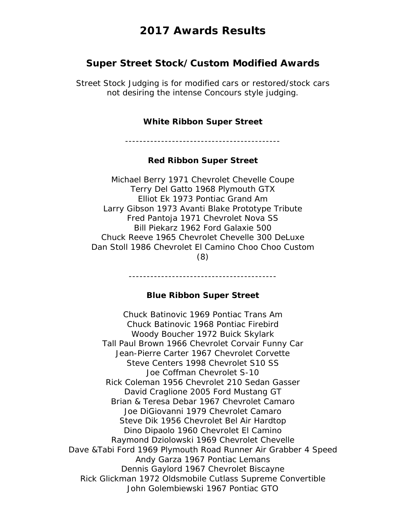## **Super Street Stock/Custom Modified Awards**

Street Stock Judging is for modified cars or restored/stock cars not desiring the intense Concours style judging.

#### **White Ribbon Super Street**

-------------------------------------------

#### **Red Ribbon Super Street**

Michael Berry 1971 Chevrolet Chevelle Coupe Terry Del Gatto 1968 Plymouth GTX Elliot Ek 1973 Pontiac Grand Am Larry Gibson 1973 Avanti Blake Prototype Tribute Fred Pantoja 1971 Chevrolet Nova SS Bill Piekarz 1962 Ford Galaxie 500 Chuck Reeve 1965 Chevrolet Chevelle 300 DeLuxe Dan Stoll 1986 Chevrolet El Camino Choo Choo Custom (8)

#### **Blue Ribbon Super Street**

-----------------------------------------

Chuck Batinovic 1969 Pontiac Trans Am Chuck Batinovic 1968 Pontiac Firebird Woody Boucher 1972 Buick Skylark Tall Paul Brown 1966 Chevrolet Corvair Funny Car Jean-Pierre Carter 1967 Chevrolet Corvette Steve Centers 1998 Chevrolet S10 SS Joe Coffman Chevrolet S-10 Rick Coleman 1956 Chevrolet 210 Sedan Gasser David Craglione 2005 Ford Mustang GT Brian & Teresa Debar 1967 Chevrolet Camaro Joe DiGiovanni 1979 Chevrolet Camaro Steve Dik 1956 Chevrolet Bel Air Hardtop Dino Dipaolo 1960 Chevrolet El Camino Raymond Dziolowski 1969 Chevrolet Chevelle Dave &Tabi Ford 1969 Plymouth Road Runner Air Grabber 4 Speed Andy Garza 1967 Pontiac Lemans Dennis Gaylord 1967 Chevrolet Biscayne Rick Glickman 1972 Oldsmobile Cutlass Supreme Convertible John Golembiewski 1967 Pontiac GTO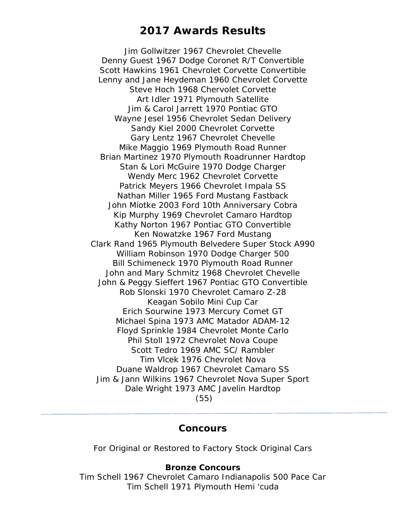Jim Gollwitzer 1967 Chevrolet Chevelle Denny Guest 1967 Dodge Coronet R/T Convertible Scott Hawkins 1961 Chevrolet Corvette Convertible Lenny and Jane Heydeman 1960 Chevrolet Corvette Steve Hoch 1968 Chervolet Corvette Art Idler 1971 Plymouth Satellite Jim & Carol Jarrett 1970 Pontiac GTO Wayne Jesel 1956 Chevrolet Sedan Delivery Sandy Kiel 2000 Chevrolet Corvette Gary Lentz 1967 Chevrolet Chevelle Mike Maggio 1969 Plymouth Road Runner Brian Martinez 1970 Plymouth Roadrunner Hardtop Stan & Lori McGuire 1970 Dodge Charger Wendy Merc 1962 Chevrolet Corvette Patrick Meyers 1966 Chevrolet Impala SS Nathan Miller 1965 Ford Mustang Fastback John Miotke 2003 Ford 10th Anniversary Cobra Kip Murphy 1969 Chevrolet Camaro Hardtop Kathy Norton 1967 Pontiac GTO Convertible Ken Nowatzke 1967 Ford Mustang Clark Rand 1965 Plymouth Belvedere Super Stock A990 William Robinson 1970 Dodge Charger 500 Bill Schimeneck 1970 Plymouth Road Runner John and Mary Schmitz 1968 Chevrolet Chevelle John & Peggy Sieffert 1967 Pontiac GTO Convertible Rob Slonski 1970 Chevrolet Camaro Z-28 Keagan Sobilo Mini Cup Car Erich Sourwine 1973 Mercury Comet GT Michael Spina 1973 AMC Matador ADAM-12 Floyd Sprinkle 1984 Chevrolet Monte Carlo Phil Stoll 1972 Chevrolet Nova Coupe Scott Tedro 1969 AMC SC/ Rambler Tim Vlcek 1976 Chevrolet Nova Duane Waldrop 1967 Chevrolet Camaro SS Jim & Jann Wilkins 1967 Chevrolet Nova Super Sport Dale Wright 1973 AMC Javelin Hardtop (55)

### **Concours**

For Original or Restored to Factory Stock Original Cars

#### **Bronze Concours**

Tim Schell 1967 Chevrolet Camaro Indianapolis 500 Pace Car Tim Schell 1971 Plymouth Hemi 'cuda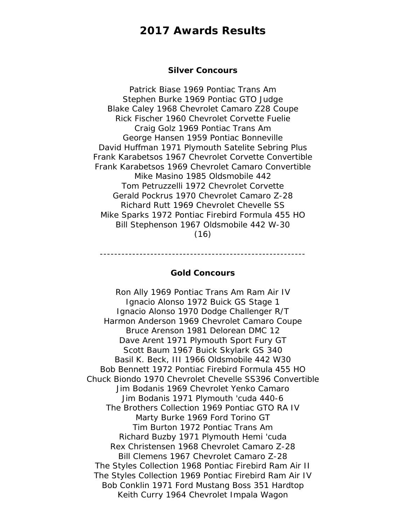#### **Silver Concours**

Patrick Biase 1969 Pontiac Trans Am Stephen Burke 1969 Pontiac GTO Judge Blake Caley 1968 Chevrolet Camaro Z28 Coupe Rick Fischer 1960 Chevrolet Corvette Fuelie Craig Golz 1969 Pontiac Trans Am George Hansen 1959 Pontiac Bonneville David Huffman 1971 Plymouth Satelite Sebring Plus Frank Karabetsos 1967 Chevrolet Corvette Convertible Frank Karabetsos 1969 Chevrolet Camaro Convertible Mike Masino 1985 Oldsmobile 442 Tom Petruzzelli 1972 Chevrolet Corvette Gerald Pockrus 1970 Chevrolet Camaro Z-28 Richard Rutt 1969 Chevrolet Chevelle SS Mike Sparks 1972 Pontiac Firebird Formula 455 HO Bill Stephenson 1967 Oldsmobile 442 W-30 (16)

---------------------------------------------------------

#### **Gold Concours**

Ron Ally 1969 Pontiac Trans Am Ram Air IV Ignacio Alonso 1972 Buick GS Stage 1 Ignacio Alonso 1970 Dodge Challenger R/T Harmon Anderson 1969 Chevrolet Camaro Coupe Bruce Arenson 1981 Delorean DMC 12 Dave Arent 1971 Plymouth Sport Fury GT Scott Baum 1967 Buick Skylark GS 340 Basil K. Beck, III 1966 Oldsmobile 442 W30 Bob Bennett 1972 Pontiac Firebird Formula 455 HO Chuck Biondo 1970 Chevrolet Chevelle SS396 Convertible Jim Bodanis 1969 Chevrolet Yenko Camaro Jim Bodanis 1971 Plymouth 'cuda 440-6 The Brothers Collection 1969 Pontiac GTO RA IV Marty Burke 1969 Ford Torino GT Tim Burton 1972 Pontiac Trans Am Richard Buzby 1971 Plymouth Hemi 'cuda Rex Christensen 1968 Chevrolet Camaro Z-28 Bill Clemens 1967 Chevrolet Camaro Z-28 The Styles Collection 1968 Pontiac Firebird Ram Air II The Styles Collection 1969 Pontiac Firebird Ram Air IV Bob Conklin 1971 Ford Mustang Boss 351 Hardtop Keith Curry 1964 Chevrolet Impala Wagon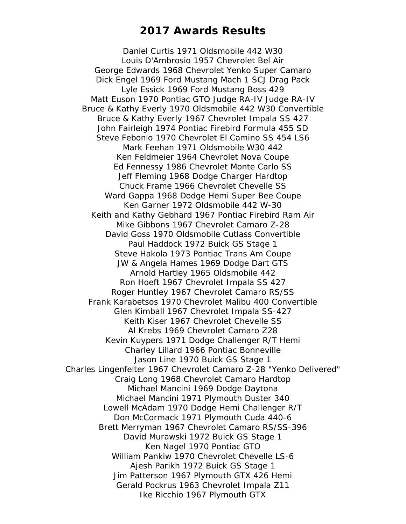Daniel Curtis 1971 Oldsmobile 442 W30 Louis D'Ambrosio 1957 Chevrolet Bel Air George Edwards 1968 Chevrolet Yenko Super Camaro Dick Engel 1969 Ford Mustang Mach 1 SCJ Drag Pack Lyle Essick 1969 Ford Mustang Boss 429 Matt Euson 1970 Pontiac GTO Judge RA-IV Judge RA-IV Bruce & Kathy Everly 1970 Oldsmobile 442 W30 Convertible Bruce & Kathy Everly 1967 Chevrolet Impala SS 427 John Fairleigh 1974 Pontiac Firebird Formula 455 SD Steve Febonio 1970 Chevrolet El Camino SS 454 LS6 Mark Feehan 1971 Oldsmobile W30 442 Ken Feldmeier 1964 Chevrolet Nova Coupe Ed Fennessy 1986 Chevrolet Monte Carlo SS Jeff Fleming 1968 Dodge Charger Hardtop Chuck Frame 1966 Chevrolet Chevelle SS Ward Gappa 1968 Dodge Hemi Super Bee Coupe Ken Garner 1972 Oldsmobile 442 W-30 Keith and Kathy Gebhard 1967 Pontiac Firebird Ram Air Mike Gibbons 1967 Chevrolet Camaro Z-28 David Goss 1970 Oldsmobile Cutlass Convertible Paul Haddock 1972 Buick GS Stage 1 Steve Hakola 1973 Pontiac Trans Am Coupe JW & Angela Hames 1969 Dodge Dart GTS Arnold Hartley 1965 Oldsmobile 442 Ron Hoeft 1967 Chevrolet Impala SS 427 Roger Huntley 1967 Chevrolet Camaro RS/SS Frank Karabetsos 1970 Chevrolet Malibu 400 Convertible Glen Kimball 1967 Chevrolet Impala SS-427 Keith Kiser 1967 Chevrolet Chevelle SS Al Krebs 1969 Chevrolet Camaro Z28 Kevin Kuypers 1971 Dodge Challenger R/T Hemi Charley Lillard 1966 Pontiac Bonneville Jason Line 1970 Buick GS Stage 1 Charles Lingenfelter 1967 Chevrolet Camaro Z-28 "Yenko Delivered" Craig Long 1968 Chevrolet Camaro Hardtop Michael Mancini 1969 Dodge Daytona Michael Mancini 1971 Plymouth Duster 340 Lowell McAdam 1970 Dodge Hemi Challenger R/T Don McCormack 1971 Plymouth Cuda 440-6 Brett Merryman 1967 Chevrolet Camaro RS/SS-396 David Murawski 1972 Buick GS Stage 1 Ken Nagel 1970 Pontiac GTO William Pankiw 1970 Chevrolet Chevelle LS-6 Ajesh Parikh 1972 Buick GS Stage 1 Jim Patterson 1967 Plymouth GTX 426 Hemi Gerald Pockrus 1963 Chevrolet Impala Z11 Ike Ricchio 1967 Plymouth GTX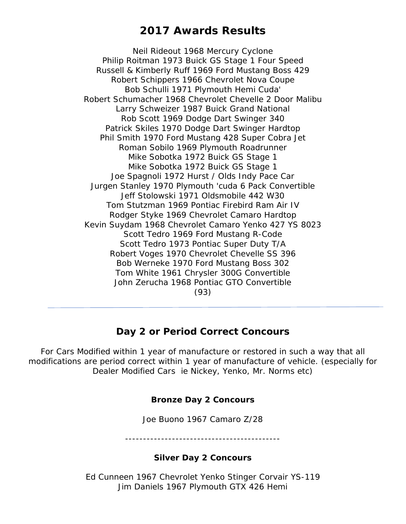Neil Rideout 1968 Mercury Cyclone Philip Roitman 1973 Buick GS Stage 1 Four Speed Russell & Kimberly Ruff 1969 Ford Mustang Boss 429 Robert Schippers 1966 Chevrolet Nova Coupe Bob Schulli 1971 Plymouth Hemi Cuda' Robert Schumacher 1968 Chevrolet Chevelle 2 Door Malibu Larry Schweizer 1987 Buick Grand National Rob Scott 1969 Dodge Dart Swinger 340 Patrick Skiles 1970 Dodge Dart Swinger Hardtop Phil Smith 1970 Ford Mustang 428 Super Cobra Jet Roman Sobilo 1969 Plymouth Roadrunner Mike Sobotka 1972 Buick GS Stage 1 Mike Sobotka 1972 Buick GS Stage 1 Joe Spagnoli 1972 Hurst / Olds Indy Pace Car Jurgen Stanley 1970 Plymouth 'cuda 6 Pack Convertible Jeff Stolowski 1971 Oldsmobile 442 W30 Tom Stutzman 1969 Pontiac Firebird Ram Air IV Rodger Styke 1969 Chevrolet Camaro Hardtop Kevin Suydam 1968 Chevrolet Camaro Yenko 427 YS 8023 Scott Tedro 1969 Ford Mustang R-Code Scott Tedro 1973 Pontiac Super Duty T/A Robert Voges 1970 Chevrolet Chevelle SS 396 Bob Werneke 1970 Ford Mustang Boss 302 Tom White 1961 Chrysler 300G Convertible John Zerucha 1968 Pontiac GTO Convertible (93)

## **Day 2 or Period Correct Concours**

For Cars Modified within 1 year of manufacture or restored in such a way that all modifications are period correct within 1 year of manufacture of vehicle. (especially for Dealer Modified Cars ie Nickey, Yenko, Mr. Norms etc)

## **Bronze Day 2 Concours**

Joe Buono 1967 Camaro Z/28

-------------------------------------------

## **Silver Day 2 Concours**

Ed Cunneen 1967 Chevrolet Yenko Stinger Corvair YS-119 Jim Daniels 1967 Plymouth GTX 426 Hemi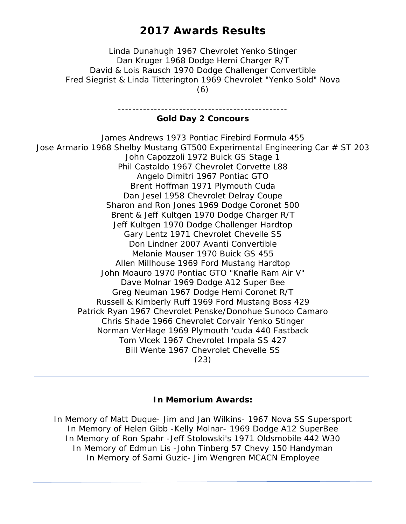Linda Dunahugh 1967 Chevrolet Yenko Stinger Dan Kruger 1968 Dodge Hemi Charger R/T David & Lois Rausch 1970 Dodge Challenger Convertible Fred Siegrist & Linda Titterington 1969 Chevrolet "Yenko Sold" Nova (6)

> ----------------------------------------------- **Gold Day 2 Concours**

James Andrews 1973 Pontiac Firebird Formula 455 Jose Armario 1968 Shelby Mustang GT500 Experimental Engineering Car # ST 203 John Capozzoli 1972 Buick GS Stage 1 Phil Castaldo 1967 Chevrolet Corvette L88 Angelo Dimitri 1967 Pontiac GTO Brent Hoffman 1971 Plymouth Cuda Dan Jesel 1958 Chevrolet Delray Coupe Sharon and Ron Jones 1969 Dodge Coronet 500 Brent & Jeff Kultgen 1970 Dodge Charger R/T Jeff Kultgen 1970 Dodge Challenger Hardtop Gary Lentz 1971 Chevrolet Chevelle SS Don Lindner 2007 Avanti Convertible Melanie Mauser 1970 Buick GS 455 Allen Millhouse 1969 Ford Mustang Hardtop John Moauro 1970 Pontiac GTO "Knafle Ram Air V" Dave Molnar 1969 Dodge A12 Super Bee Greg Neuman 1967 Dodge Hemi Coronet R/T Russell & Kimberly Ruff 1969 Ford Mustang Boss 429 Patrick Ryan 1967 Chevrolet Penske/Donohue Sunoco Camaro Chris Shade 1966 Chevrolet Corvair Yenko Stinger Norman VerHage 1969 Plymouth 'cuda 440 Fastback Tom Vlcek 1967 Chevrolet Impala SS 427 Bill Wente 1967 Chevrolet Chevelle SS (23)

#### **In Memorium Awards:**

In Memory of Matt Duque- Jim and Jan Wilkins- 1967 Nova SS Supersport In Memory of Helen Gibb -Kelly Molnar- 1969 Dodge A12 SuperBee In Memory of Ron Spahr -Jeff Stolowski's 1971 Oldsmobile 442 W30 In Memory of Edmun Lis -John Tinberg 57 Chevy 150 Handyman In Memory of Sami Guzic- Jim Wengren MCACN Employee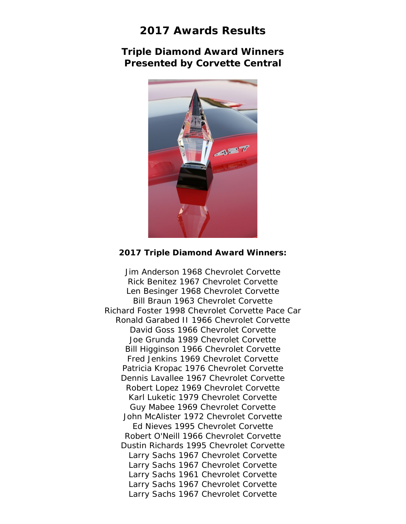**Triple Diamond Award Winners Presented by Corvette Central**



#### **2017 Triple Diamond Award Winners:**

Jim Anderson 1968 Chevrolet Corvette Rick Benitez 1967 Chevrolet Corvette Len Besinger 1968 Chevrolet Corvette Bill Braun 1963 Chevrolet Corvette Richard Foster 1998 Chevrolet Corvette Pace Car Ronald Garabed II 1966 Chevrolet Corvette David Goss 1966 Chevrolet Corvette Joe Grunda 1989 Chevrolet Corvette Bill Higginson 1966 Chevrolet Corvette Fred Jenkins 1969 Chevrolet Corvette Patricia Kropac 1976 Chevrolet Corvette Dennis Lavallee 1967 Chevrolet Corvette Robert Lopez 1969 Chevrolet Corvette Karl Luketic 1979 Chevrolet Corvette Guy Mabee 1969 Chevrolet Corvette John McAlister 1972 Chevrolet Corvette Ed Nieves 1995 Chevrolet Corvette Robert O'Neill 1966 Chevrolet Corvette Dustin Richards 1995 Chevrolet Corvette Larry Sachs 1967 Chevrolet Corvette Larry Sachs 1967 Chevrolet Corvette Larry Sachs 1961 Chevrolet Corvette Larry Sachs 1967 Chevrolet Corvette Larry Sachs 1967 Chevrolet Corvette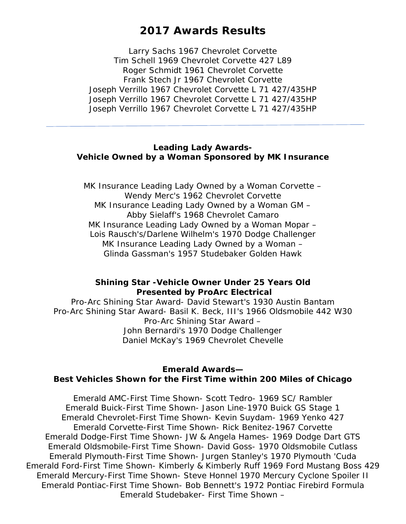Larry Sachs 1967 Chevrolet Corvette Tim Schell 1969 Chevrolet Corvette 427 L89 Roger Schmidt 1961 Chevrolet Corvette Frank Stech Jr 1967 Chevrolet Corvette Joseph Verrillo 1967 Chevrolet Corvette L 71 427/435HP Joseph Verrillo 1967 Chevrolet Corvette L 71 427/435HP Joseph Verrillo 1967 Chevrolet Corvette L 71 427/435HP

#### **Leading Lady Awards-Vehicle Owned by a Woman Sponsored by MK Insurance**

MK Insurance Leading Lady Owned by a Woman Corvette – Wendy Merc's 1962 Chevrolet Corvette MK Insurance Leading Lady Owned by a Woman GM – Abby Sielaff's 1968 Chevrolet Camaro MK Insurance Leading Lady Owned by a Woman Mopar – Lois Rausch's/Darlene Wilhelm's 1970 Dodge Challenger MK Insurance Leading Lady Owned by a Woman – Glinda Gassman's 1957 Studebaker Golden Hawk

### **Shining Star -Vehicle Owner Under 25 Years Old Presented by ProArc Electrical**

Pro-Arc Shining Star Award- David Stewart's 1930 Austin Bantam Pro-Arc Shining Star Award- Basil K. Beck, III's 1966 Oldsmobile 442 W30 Pro-Arc Shining Star Award – John Bernardi's 1970 Dodge Challenger Daniel McKay's 1969 Chevrolet Chevelle

#### **Emerald Awards— Best Vehicles Shown for the First Time within 200 Miles of Chicago**

Emerald AMC-First Time Shown- Scott Tedro- 1969 SC/ Rambler Emerald Buick-First Time Shown- Jason Line-1970 Buick GS Stage 1 Emerald Chevrolet-First Time Shown- Kevin Suydam- 1969 Yenko 427 Emerald Corvette-First Time Shown- Rick Benitez-1967 Corvette Emerald Dodge-First Time Shown- JW & Angela Hames- 1969 Dodge Dart GTS Emerald Oldsmobile-First Time Shown- David Goss- 1970 Oldsmobile Cutlass Emerald Plymouth-First Time Shown- Jurgen Stanley's 1970 Plymouth 'Cuda Emerald Ford-First Time Shown- Kimberly & Kimberly Ruff 1969 Ford Mustang Boss 429 Emerald Mercury-First Time Shown- Steve Honnel 1970 Mercury Cyclone Spoiler II Emerald Pontiac-First Time Shown- Bob Bennett's 1972 Pontiac Firebird Formula Emerald Studebaker- First Time Shown –